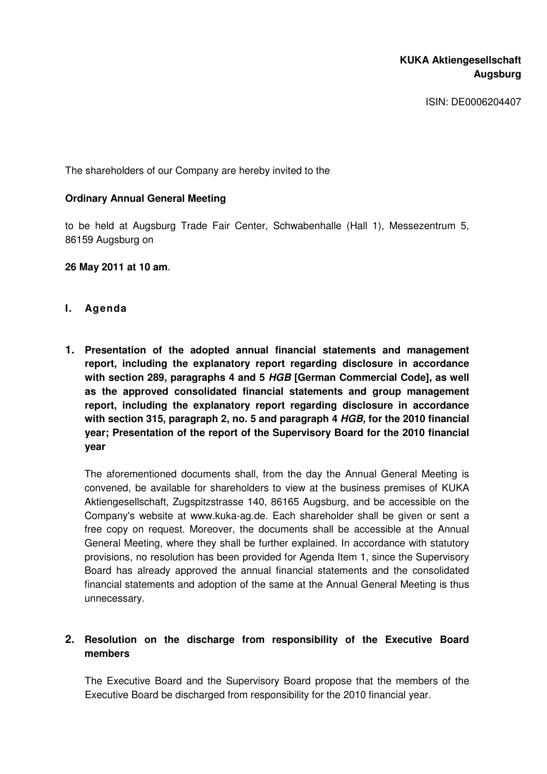# **KUKA Aktiengesellschaft Augsburg**

ISIN: DE0006204407

The shareholders of our Company are hereby invited to the

## **Ordinary Annual General Meeting**

to be held at Augsburg Trade Fair Center, Schwabenhalle (Hall 1), Messezentrum 5, 86159 Augsburg on

## **26 May 2011 at 10 am**.

- **I. Agenda**
- **1. Presentation of the adopted annual financial statements and management report, including the explanatory report regarding disclosure in accordance with section 289, paragraphs 4 and 5 HGB [German Commercial Code], as well as the approved consolidated financial statements and group management report, including the explanatory report regarding disclosure in accordance with section 315, paragraph 2, no. 5 and paragraph 4 HGB, for the 2010 financial year; Presentation of the report of the Supervisory Board for the 2010 financial year**

The aforementioned documents shall, from the day the Annual General Meeting is convened, be available for shareholders to view at the business premises of KUKA Aktiengesellschaft, Zugspitzstrasse 140, 86165 Augsburg, and be accessible on the Company's website at www.kuka-ag.de. Each shareholder shall be given or sent a free copy on request. Moreover, the documents shall be accessible at the Annual General Meeting, where they shall be further explained. In accordance with statutory provisions, no resolution has been provided for Agenda Item 1, since the Supervisory Board has already approved the annual financial statements and the consolidated financial statements and adoption of the same at the Annual General Meeting is thus unnecessary.

# **2. Resolution on the discharge from responsibility of the Executive Board members**

The Executive Board and the Supervisory Board propose that the members of the Executive Board be discharged from responsibility for the 2010 financial year.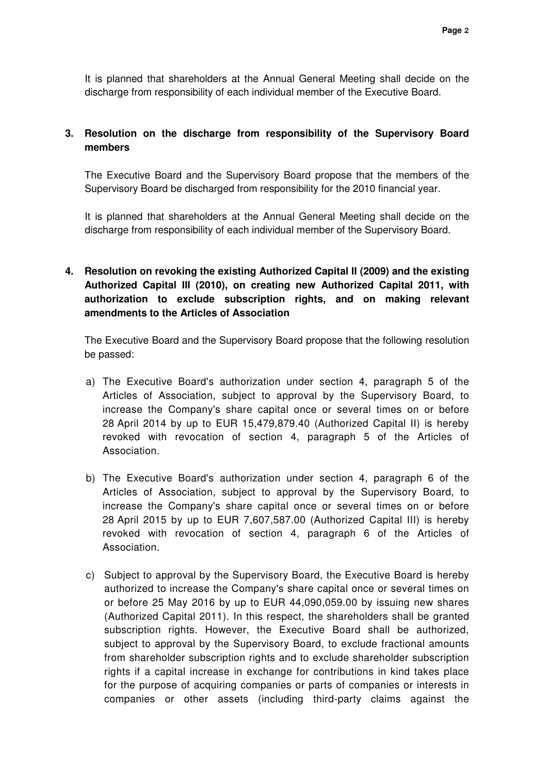It is planned that shareholders at the Annual General Meeting shall decide on the discharge from responsibility of each individual member of the Executive Board.

## **3. Resolution on the discharge from responsibility of the Supervisory Board members**

The Executive Board and the Supervisory Board propose that the members of the Supervisory Board be discharged from responsibility for the 2010 financial year.

It is planned that shareholders at the Annual General Meeting shall decide on the discharge from responsibility of each individual member of the Supervisory Board.

# **4. Resolution on revoking the existing Authorized Capital II (2009) and the existing Authorized Capital III (2010), on creating new Authorized Capital 2011, with authorization to exclude subscription rights, and on making relevant amendments to the Articles of Association**

The Executive Board and the Supervisory Board propose that the following resolution be passed:

- a) The Executive Board's authorization under section 4, paragraph 5 of the Articles of Association, subject to approval by the Supervisory Board, to increase the Company's share capital once or several times on or before 28 April 2014 by up to EUR 15,479,879.40 (Authorized Capital II) is hereby revoked with revocation of section 4, paragraph 5 of the Articles of Association.
- b) The Executive Board's authorization under section 4, paragraph 6 of the Articles of Association, subject to approval by the Supervisory Board, to increase the Company's share capital once or several times on or before 28 April 2015 by up to EUR 7,607,587.00 (Authorized Capital III) is hereby revoked with revocation of section 4, paragraph 6 of the Articles of Association.
- c) Subject to approval by the Supervisory Board, the Executive Board is hereby authorized to increase the Company's share capital once or several times on or before 25 May 2016 by up to EUR 44,090,059.00 by issuing new shares (Authorized Capital 2011). In this respect, the shareholders shall be granted subscription rights. However, the Executive Board shall be authorized, subject to approval by the Supervisory Board, to exclude fractional amounts from shareholder subscription rights and to exclude shareholder subscription rights if a capital increase in exchange for contributions in kind takes place for the purpose of acquiring companies or parts of companies or interests in companies or other assets (including third-party claims against the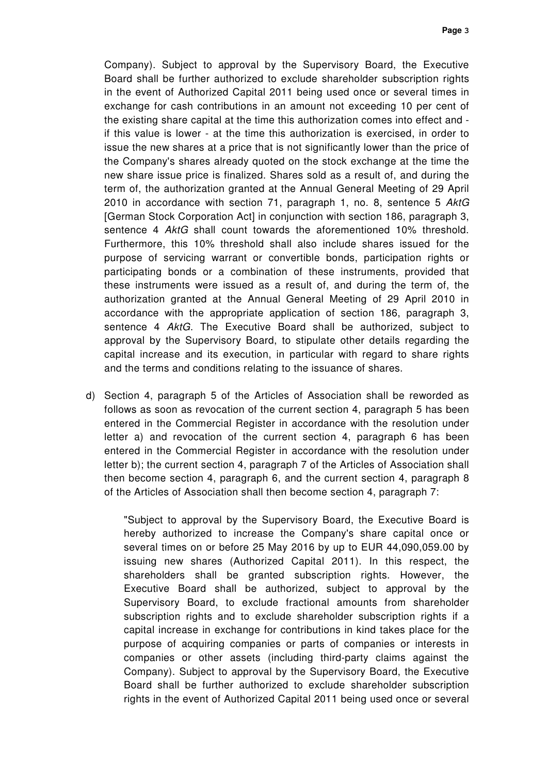Company). Subject to approval by the Supervisory Board, the Executive Board shall be further authorized to exclude shareholder subscription rights in the event of Authorized Capital 2011 being used once or several times in exchange for cash contributions in an amount not exceeding 10 per cent of the existing share capital at the time this authorization comes into effect and if this value is lower - at the time this authorization is exercised, in order to issue the new shares at a price that is not significantly lower than the price of the Company's shares already quoted on the stock exchange at the time the new share issue price is finalized. Shares sold as a result of, and during the term of, the authorization granted at the Annual General Meeting of 29 April 2010 in accordance with section 71, paragraph 1, no. 8, sentence 5 AktG [German Stock Corporation Act] in conjunction with section 186, paragraph 3, sentence 4 AktG shall count towards the aforementioned 10% threshold. Furthermore, this 10% threshold shall also include shares issued for the purpose of servicing warrant or convertible bonds, participation rights or participating bonds or a combination of these instruments, provided that these instruments were issued as a result of, and during the term of, the authorization granted at the Annual General Meeting of 29 April 2010 in accordance with the appropriate application of section 186, paragraph 3, sentence 4 AktG. The Executive Board shall be authorized, subject to approval by the Supervisory Board, to stipulate other details regarding the capital increase and its execution, in particular with regard to share rights and the terms and conditions relating to the issuance of shares.

d) Section 4, paragraph 5 of the Articles of Association shall be reworded as follows as soon as revocation of the current section 4, paragraph 5 has been entered in the Commercial Register in accordance with the resolution under letter a) and revocation of the current section 4, paragraph 6 has been entered in the Commercial Register in accordance with the resolution under letter b); the current section 4, paragraph 7 of the Articles of Association shall then become section 4, paragraph 6, and the current section 4, paragraph 8 of the Articles of Association shall then become section 4, paragraph 7:

"Subject to approval by the Supervisory Board, the Executive Board is hereby authorized to increase the Company's share capital once or several times on or before 25 May 2016 by up to EUR 44,090,059.00 by issuing new shares (Authorized Capital 2011). In this respect, the shareholders shall be granted subscription rights. However, the Executive Board shall be authorized, subject to approval by the Supervisory Board, to exclude fractional amounts from shareholder subscription rights and to exclude shareholder subscription rights if a capital increase in exchange for contributions in kind takes place for the purpose of acquiring companies or parts of companies or interests in companies or other assets (including third-party claims against the Company). Subject to approval by the Supervisory Board, the Executive Board shall be further authorized to exclude shareholder subscription rights in the event of Authorized Capital 2011 being used once or several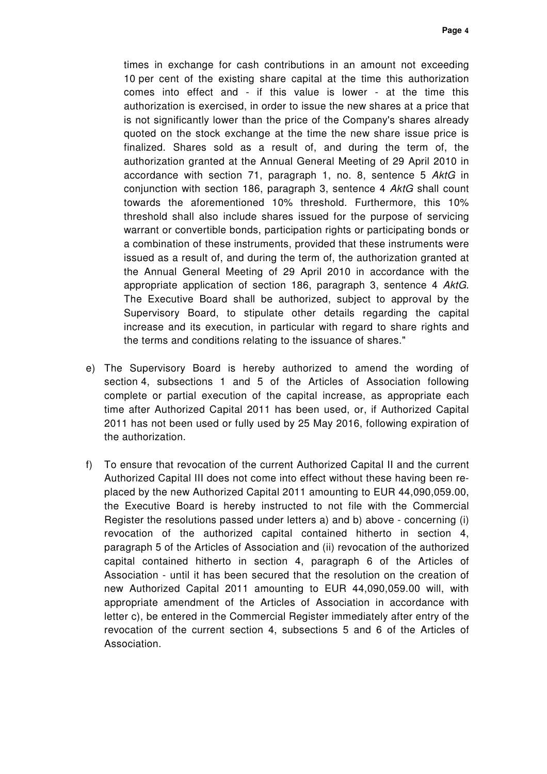times in exchange for cash contributions in an amount not exceeding 10 per cent of the existing share capital at the time this authorization comes into effect and - if this value is lower - at the time this authorization is exercised, in order to issue the new shares at a price that is not significantly lower than the price of the Company's shares already quoted on the stock exchange at the time the new share issue price is finalized. Shares sold as a result of, and during the term of, the authorization granted at the Annual General Meeting of 29 April 2010 in accordance with section 71, paragraph 1, no. 8, sentence 5 AktG in conjunction with section 186, paragraph 3, sentence 4 AktG shall count towards the aforementioned 10% threshold. Furthermore, this 10% threshold shall also include shares issued for the purpose of servicing warrant or convertible bonds, participation rights or participating bonds or a combination of these instruments, provided that these instruments were issued as a result of, and during the term of, the authorization granted at the Annual General Meeting of 29 April 2010 in accordance with the appropriate application of section 186, paragraph 3, sentence 4 AktG. The Executive Board shall be authorized, subject to approval by the Supervisory Board, to stipulate other details regarding the capital increase and its execution, in particular with regard to share rights and the terms and conditions relating to the issuance of shares."

- e) The Supervisory Board is hereby authorized to amend the wording of section 4, subsections 1 and 5 of the Articles of Association following complete or partial execution of the capital increase, as appropriate each time after Authorized Capital 2011 has been used, or, if Authorized Capital 2011 has not been used or fully used by 25 May 2016, following expiration of the authorization.
- f) To ensure that revocation of the current Authorized Capital II and the current Authorized Capital III does not come into effect without these having been replaced by the new Authorized Capital 2011 amounting to EUR 44,090,059.00, the Executive Board is hereby instructed to not file with the Commercial Register the resolutions passed under letters a) and b) above - concerning (i) revocation of the authorized capital contained hitherto in section 4, paragraph 5 of the Articles of Association and (ii) revocation of the authorized capital contained hitherto in section 4, paragraph 6 of the Articles of Association - until it has been secured that the resolution on the creation of new Authorized Capital 2011 amounting to EUR 44,090,059.00 will, with appropriate amendment of the Articles of Association in accordance with letter c), be entered in the Commercial Register immediately after entry of the revocation of the current section 4, subsections 5 and 6 of the Articles of Association.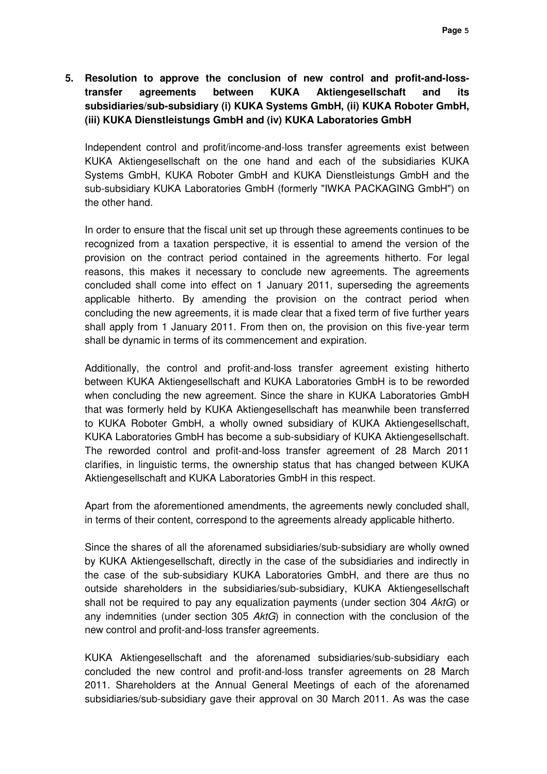# **5. Resolution to approve the conclusion of new control and profit-and-losstransfer agreements between KUKA Aktiengesellschaft and its subsidiaries/sub-subsidiary (i) KUKA Systems GmbH, (ii) KUKA Roboter GmbH, (iii) KUKA Dienstleistungs GmbH and (iv) KUKA Laboratories GmbH**

Independent control and profit/income-and-loss transfer agreements exist between KUKA Aktiengesellschaft on the one hand and each of the subsidiaries KUKA Systems GmbH, KUKA Roboter GmbH and KUKA Dienstleistungs GmbH and the sub-subsidiary KUKA Laboratories GmbH (formerly "IWKA PACKAGING GmbH") on the other hand.

In order to ensure that the fiscal unit set up through these agreements continues to be recognized from a taxation perspective, it is essential to amend the version of the provision on the contract period contained in the agreements hitherto. For legal reasons, this makes it necessary to conclude new agreements. The agreements concluded shall come into effect on 1 January 2011, superseding the agreements applicable hitherto. By amending the provision on the contract period when concluding the new agreements, it is made clear that a fixed term of five further years shall apply from 1 January 2011. From then on, the provision on this five-year term shall be dynamic in terms of its commencement and expiration.

Additionally, the control and profit-and-loss transfer agreement existing hitherto between KUKA Aktiengesellschaft and KUKA Laboratories GmbH is to be reworded when concluding the new agreement. Since the share in KUKA Laboratories GmbH that was formerly held by KUKA Aktiengesellschaft has meanwhile been transferred to KUKA Roboter GmbH, a wholly owned subsidiary of KUKA Aktiengesellschaft, KUKA Laboratories GmbH has become a sub-subsidiary of KUKA Aktiengesellschaft. The reworded control and profit-and-loss transfer agreement of 28 March 2011 clarifies, in linguistic terms, the ownership status that has changed between KUKA Aktiengesellschaft and KUKA Laboratories GmbH in this respect.

Apart from the aforementioned amendments, the agreements newly concluded shall, in terms of their content, correspond to the agreements already applicable hitherto.

Since the shares of all the aforenamed subsidiaries/sub-subsidiary are wholly owned by KUKA Aktiengesellschaft, directly in the case of the subsidiaries and indirectly in the case of the sub-subsidiary KUKA Laboratories GmbH, and there are thus no outside shareholders in the subsidiaries/sub-subsidiary, KUKA Aktiengesellschaft shall not be required to pay any equalization payments (under section 304 AktG) or any indemnities (under section 305 AktG) in connection with the conclusion of the new control and profit-and-loss transfer agreements.

KUKA Aktiengesellschaft and the aforenamed subsidiaries/sub-subsidiary each concluded the new control and profit-and-loss transfer agreements on 28 March 2011. Shareholders at the Annual General Meetings of each of the aforenamed subsidiaries/sub-subsidiary gave their approval on 30 March 2011. As was the case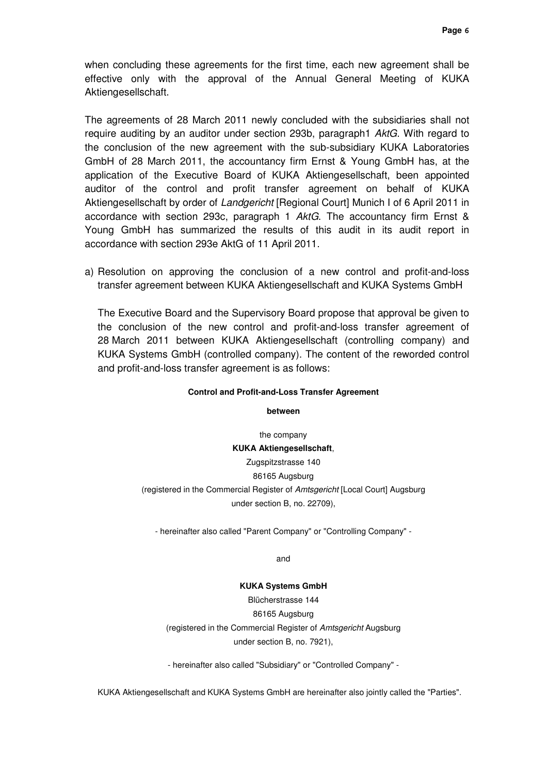when concluding these agreements for the first time, each new agreement shall be effective only with the approval of the Annual General Meeting of KUKA Aktiengesellschaft.

The agreements of 28 March 2011 newly concluded with the subsidiaries shall not require auditing by an auditor under section 293b, paragraph1 AktG. With regard to the conclusion of the new agreement with the sub-subsidiary KUKA Laboratories GmbH of 28 March 2011, the accountancy firm Ernst & Young GmbH has, at the application of the Executive Board of KUKA Aktiengesellschaft, been appointed auditor of the control and profit transfer agreement on behalf of KUKA Aktiengesellschaft by order of Landgericht [Regional Court] Munich I of 6 April 2011 in accordance with section 293c, paragraph 1 AktG. The accountancy firm Ernst & Young GmbH has summarized the results of this audit in its audit report in accordance with section 293e AktG of 11 April 2011.

a) Resolution on approving the conclusion of a new control and profit-and-loss transfer agreement between KUKA Aktiengesellschaft and KUKA Systems GmbH

The Executive Board and the Supervisory Board propose that approval be given to the conclusion of the new control and profit-and-loss transfer agreement of 28 March 2011 between KUKA Aktiengesellschaft (controlling company) and KUKA Systems GmbH (controlled company). The content of the reworded control and profit-and-loss transfer agreement is as follows:

#### **Control and Profit-and-Loss Transfer Agreement**

**between** 

the company **KUKA Aktiengesellschaft**, Zugspitzstrasse 140 86165 Augsburg (registered in the Commercial Register of Amtsgericht [Local Court] Augsburg under section B, no. 22709),

- hereinafter also called "Parent Company" or "Controlling Company" -

and

#### **KUKA Systems GmbH**

Blücherstrasse 144 86165 Augsburg (registered in the Commercial Register of Amtsgericht Augsburg under section B, no. 7921),

- hereinafter also called "Subsidiary" or "Controlled Company" -

KUKA Aktiengesellschaft and KUKA Systems GmbH are hereinafter also jointly called the "Parties".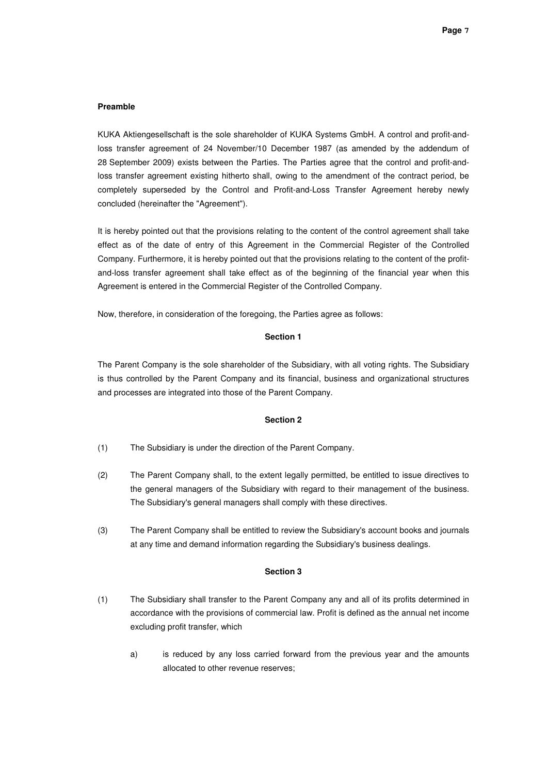### **Preamble**

KUKA Aktiengesellschaft is the sole shareholder of KUKA Systems GmbH. A control and profit-andloss transfer agreement of 24 November/10 December 1987 (as amended by the addendum of 28 September 2009) exists between the Parties. The Parties agree that the control and profit-andloss transfer agreement existing hitherto shall, owing to the amendment of the contract period, be completely superseded by the Control and Profit-and-Loss Transfer Agreement hereby newly concluded (hereinafter the "Agreement").

It is hereby pointed out that the provisions relating to the content of the control agreement shall take effect as of the date of entry of this Agreement in the Commercial Register of the Controlled Company. Furthermore, it is hereby pointed out that the provisions relating to the content of the profitand-loss transfer agreement shall take effect as of the beginning of the financial year when this Agreement is entered in the Commercial Register of the Controlled Company.

Now, therefore, in consideration of the foregoing, the Parties agree as follows:

### **Section 1**

The Parent Company is the sole shareholder of the Subsidiary, with all voting rights. The Subsidiary is thus controlled by the Parent Company and its financial, business and organizational structures and processes are integrated into those of the Parent Company.

#### **Section 2**

- (1) The Subsidiary is under the direction of the Parent Company.
- (2) The Parent Company shall, to the extent legally permitted, be entitled to issue directives to the general managers of the Subsidiary with regard to their management of the business. The Subsidiary's general managers shall comply with these directives.
- (3) The Parent Company shall be entitled to review the Subsidiary's account books and journals at any time and demand information regarding the Subsidiary's business dealings.

- (1) The Subsidiary shall transfer to the Parent Company any and all of its profits determined in accordance with the provisions of commercial law. Profit is defined as the annual net income excluding profit transfer, which
	- a) is reduced by any loss carried forward from the previous year and the amounts allocated to other revenue reserves;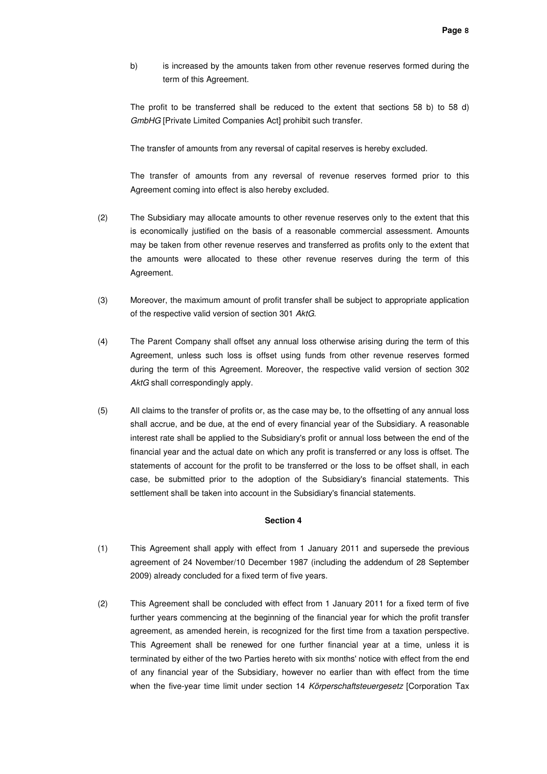b) is increased by the amounts taken from other revenue reserves formed during the term of this Agreement.

The profit to be transferred shall be reduced to the extent that sections 58 b) to 58 d) GmbHG [Private Limited Companies Act] prohibit such transfer.

The transfer of amounts from any reversal of capital reserves is hereby excluded.

The transfer of amounts from any reversal of revenue reserves formed prior to this Agreement coming into effect is also hereby excluded.

- (2) The Subsidiary may allocate amounts to other revenue reserves only to the extent that this is economically justified on the basis of a reasonable commercial assessment. Amounts may be taken from other revenue reserves and transferred as profits only to the extent that the amounts were allocated to these other revenue reserves during the term of this Agreement.
- (3) Moreover, the maximum amount of profit transfer shall be subject to appropriate application of the respective valid version of section 301 AktG.
- (4) The Parent Company shall offset any annual loss otherwise arising during the term of this Agreement, unless such loss is offset using funds from other revenue reserves formed during the term of this Agreement. Moreover, the respective valid version of section 302 AktG shall correspondingly apply.
- (5) All claims to the transfer of profits or, as the case may be, to the offsetting of any annual loss shall accrue, and be due, at the end of every financial year of the Subsidiary. A reasonable interest rate shall be applied to the Subsidiary's profit or annual loss between the end of the financial year and the actual date on which any profit is transferred or any loss is offset. The statements of account for the profit to be transferred or the loss to be offset shall, in each case, be submitted prior to the adoption of the Subsidiary's financial statements. This settlement shall be taken into account in the Subsidiary's financial statements.

- (1) This Agreement shall apply with effect from 1 January 2011 and supersede the previous agreement of 24 November/10 December 1987 (including the addendum of 28 September 2009) already concluded for a fixed term of five years.
- (2) This Agreement shall be concluded with effect from 1 January 2011 for a fixed term of five further years commencing at the beginning of the financial year for which the profit transfer agreement, as amended herein, is recognized for the first time from a taxation perspective. This Agreement shall be renewed for one further financial year at a time, unless it is terminated by either of the two Parties hereto with six months' notice with effect from the end of any financial year of the Subsidiary, however no earlier than with effect from the time when the five-year time limit under section 14 Körperschaftsteuergesetz [Corporation Tax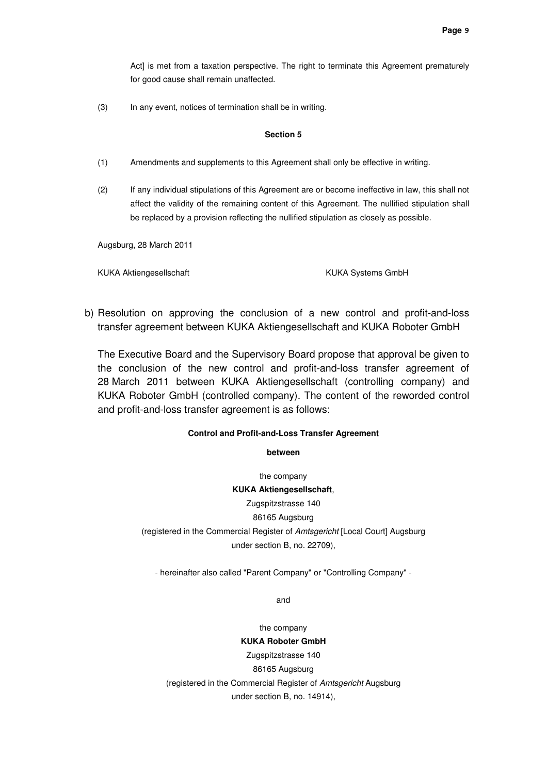Act] is met from a taxation perspective. The right to terminate this Agreement prematurely for good cause shall remain unaffected.

(3) In any event, notices of termination shall be in writing.

#### **Section 5**

- (1) Amendments and supplements to this Agreement shall only be effective in writing.
- (2) If any individual stipulations of this Agreement are or become ineffective in law, this shall not affect the validity of the remaining content of this Agreement. The nullified stipulation shall be replaced by a provision reflecting the nullified stipulation as closely as possible.

Augsburg, 28 March 2011

KUKA Aktiengesellschaft KUKA Systems GmbH

b) Resolution on approving the conclusion of a new control and profit-and-loss transfer agreement between KUKA Aktiengesellschaft and KUKA Roboter GmbH

The Executive Board and the Supervisory Board propose that approval be given to the conclusion of the new control and profit-and-loss transfer agreement of 28 March 2011 between KUKA Aktiengesellschaft (controlling company) and KUKA Roboter GmbH (controlled company). The content of the reworded control and profit-and-loss transfer agreement is as follows:

### **Control and Profit-and-Loss Transfer Agreement**

**between** 

the company **KUKA Aktiengesellschaft**, Zugspitzstrasse 140 86165 Augsburg (registered in the Commercial Register of Amtsgericht [Local Court] Augsburg under section B, no. 22709),

- hereinafter also called "Parent Company" or "Controlling Company" -

and

the company **KUKA Roboter GmbH**  Zugspitzstrasse 140 86165 Augsburg (registered in the Commercial Register of Amtsgericht Augsburg under section B, no. 14914),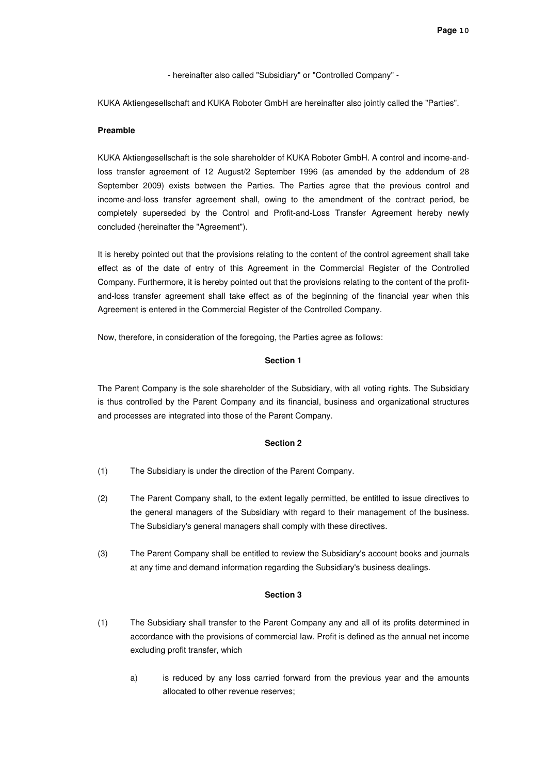- hereinafter also called "Subsidiary" or "Controlled Company" -

KUKA Aktiengesellschaft and KUKA Roboter GmbH are hereinafter also jointly called the "Parties".

#### **Preamble**

KUKA Aktiengesellschaft is the sole shareholder of KUKA Roboter GmbH. A control and income-andloss transfer agreement of 12 August/2 September 1996 (as amended by the addendum of 28 September 2009) exists between the Parties. The Parties agree that the previous control and income-and-loss transfer agreement shall, owing to the amendment of the contract period, be completely superseded by the Control and Profit-and-Loss Transfer Agreement hereby newly concluded (hereinafter the "Agreement").

It is hereby pointed out that the provisions relating to the content of the control agreement shall take effect as of the date of entry of this Agreement in the Commercial Register of the Controlled Company. Furthermore, it is hereby pointed out that the provisions relating to the content of the profitand-loss transfer agreement shall take effect as of the beginning of the financial year when this Agreement is entered in the Commercial Register of the Controlled Company.

Now, therefore, in consideration of the foregoing, the Parties agree as follows:

### **Section 1**

The Parent Company is the sole shareholder of the Subsidiary, with all voting rights. The Subsidiary is thus controlled by the Parent Company and its financial, business and organizational structures and processes are integrated into those of the Parent Company.

#### **Section 2**

- (1) The Subsidiary is under the direction of the Parent Company.
- (2) The Parent Company shall, to the extent legally permitted, be entitled to issue directives to the general managers of the Subsidiary with regard to their management of the business. The Subsidiary's general managers shall comply with these directives.
- (3) The Parent Company shall be entitled to review the Subsidiary's account books and journals at any time and demand information regarding the Subsidiary's business dealings.

- (1) The Subsidiary shall transfer to the Parent Company any and all of its profits determined in accordance with the provisions of commercial law. Profit is defined as the annual net income excluding profit transfer, which
	- a) is reduced by any loss carried forward from the previous year and the amounts allocated to other revenue reserves;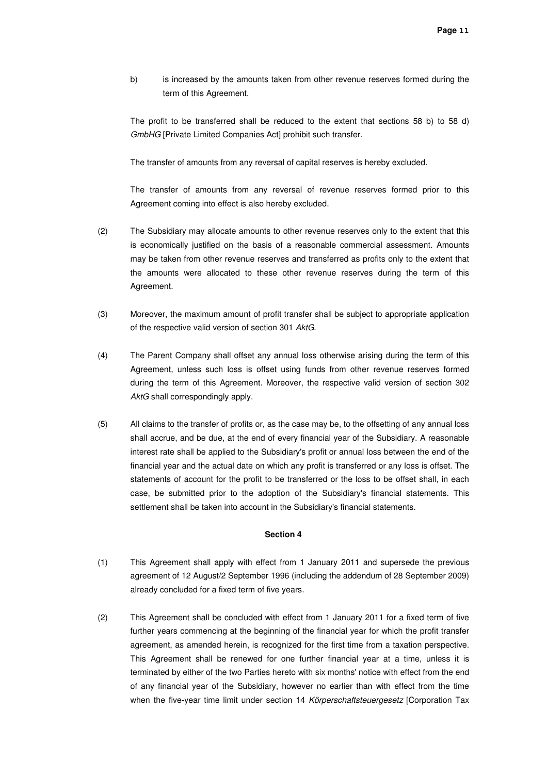b) is increased by the amounts taken from other revenue reserves formed during the term of this Agreement.

The profit to be transferred shall be reduced to the extent that sections 58 b) to 58 d) GmbHG [Private Limited Companies Act] prohibit such transfer.

The transfer of amounts from any reversal of capital reserves is hereby excluded.

The transfer of amounts from any reversal of revenue reserves formed prior to this Agreement coming into effect is also hereby excluded.

- (2) The Subsidiary may allocate amounts to other revenue reserves only to the extent that this is economically justified on the basis of a reasonable commercial assessment. Amounts may be taken from other revenue reserves and transferred as profits only to the extent that the amounts were allocated to these other revenue reserves during the term of this Agreement.
- (3) Moreover, the maximum amount of profit transfer shall be subject to appropriate application of the respective valid version of section 301 AktG.
- (4) The Parent Company shall offset any annual loss otherwise arising during the term of this Agreement, unless such loss is offset using funds from other revenue reserves formed during the term of this Agreement. Moreover, the respective valid version of section 302 AktG shall correspondingly apply.
- (5) All claims to the transfer of profits or, as the case may be, to the offsetting of any annual loss shall accrue, and be due, at the end of every financial year of the Subsidiary. A reasonable interest rate shall be applied to the Subsidiary's profit or annual loss between the end of the financial year and the actual date on which any profit is transferred or any loss is offset. The statements of account for the profit to be transferred or the loss to be offset shall, in each case, be submitted prior to the adoption of the Subsidiary's financial statements. This settlement shall be taken into account in the Subsidiary's financial statements.

- (1) This Agreement shall apply with effect from 1 January 2011 and supersede the previous agreement of 12 August/2 September 1996 (including the addendum of 28 September 2009) already concluded for a fixed term of five years.
- (2) This Agreement shall be concluded with effect from 1 January 2011 for a fixed term of five further years commencing at the beginning of the financial year for which the profit transfer agreement, as amended herein, is recognized for the first time from a taxation perspective. This Agreement shall be renewed for one further financial year at a time, unless it is terminated by either of the two Parties hereto with six months' notice with effect from the end of any financial year of the Subsidiary, however no earlier than with effect from the time when the five-year time limit under section 14 Körperschaftsteuergesetz [Corporation Tax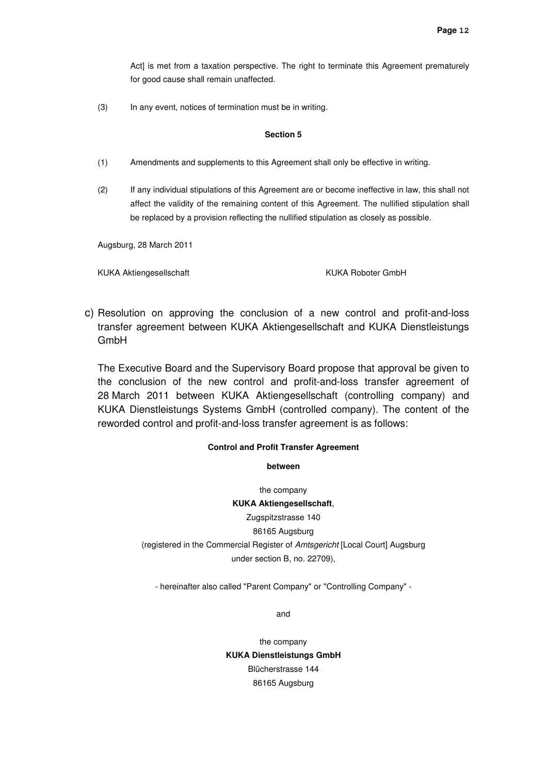Act] is met from a taxation perspective. The right to terminate this Agreement prematurely for good cause shall remain unaffected.

(3) In any event, notices of termination must be in writing.

#### **Section 5**

- (1) Amendments and supplements to this Agreement shall only be effective in writing.
- (2) If any individual stipulations of this Agreement are or become ineffective in law, this shall not affect the validity of the remaining content of this Agreement. The nullified stipulation shall be replaced by a provision reflecting the nullified stipulation as closely as possible.

Augsburg, 28 March 2011

KUKA Aktiengesellschaft KUKA Roboter GmbH

c) Resolution on approving the conclusion of a new control and profit-and-loss transfer agreement between KUKA Aktiengesellschaft and KUKA Dienstleistungs GmbH

The Executive Board and the Supervisory Board propose that approval be given to the conclusion of the new control and profit-and-loss transfer agreement of 28 March 2011 between KUKA Aktiengesellschaft (controlling company) and KUKA Dienstleistungs Systems GmbH (controlled company). The content of the reworded control and profit-and-loss transfer agreement is as follows:

### **Control and Profit Transfer Agreement**

**between** 

the company

**KUKA Aktiengesellschaft**, Zugspitzstrasse 140

86165 Augsburg

(registered in the Commercial Register of Amtsgericht [Local Court] Augsburg under section B, no. 22709),

- hereinafter also called "Parent Company" or "Controlling Company" -

and

the company **KUKA Dienstleistungs GmbH**  Blücherstrasse 144 86165 Augsburg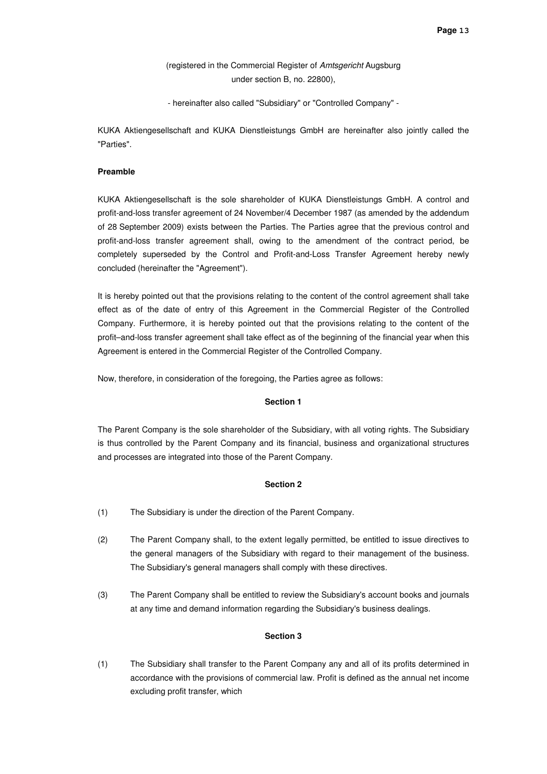(registered in the Commercial Register of Amtsgericht Augsburg under section B, no. 22800),

- hereinafter also called "Subsidiary" or "Controlled Company" -

KUKA Aktiengesellschaft and KUKA Dienstleistungs GmbH are hereinafter also jointly called the "Parties".

#### **Preamble**

KUKA Aktiengesellschaft is the sole shareholder of KUKA Dienstleistungs GmbH. A control and profit-and-loss transfer agreement of 24 November/4 December 1987 (as amended by the addendum of 28 September 2009) exists between the Parties. The Parties agree that the previous control and profit-and-loss transfer agreement shall, owing to the amendment of the contract period, be completely superseded by the Control and Profit-and-Loss Transfer Agreement hereby newly concluded (hereinafter the "Agreement").

It is hereby pointed out that the provisions relating to the content of the control agreement shall take effect as of the date of entry of this Agreement in the Commercial Register of the Controlled Company. Furthermore, it is hereby pointed out that the provisions relating to the content of the profit–and-loss transfer agreement shall take effect as of the beginning of the financial year when this Agreement is entered in the Commercial Register of the Controlled Company.

Now, therefore, in consideration of the foregoing, the Parties agree as follows:

#### **Section 1**

The Parent Company is the sole shareholder of the Subsidiary, with all voting rights. The Subsidiary is thus controlled by the Parent Company and its financial, business and organizational structures and processes are integrated into those of the Parent Company.

#### **Section 2**

- (1) The Subsidiary is under the direction of the Parent Company.
- (2) The Parent Company shall, to the extent legally permitted, be entitled to issue directives to the general managers of the Subsidiary with regard to their management of the business. The Subsidiary's general managers shall comply with these directives.
- (3) The Parent Company shall be entitled to review the Subsidiary's account books and journals at any time and demand information regarding the Subsidiary's business dealings.

### **Section 3**

(1) The Subsidiary shall transfer to the Parent Company any and all of its profits determined in accordance with the provisions of commercial law. Profit is defined as the annual net income excluding profit transfer, which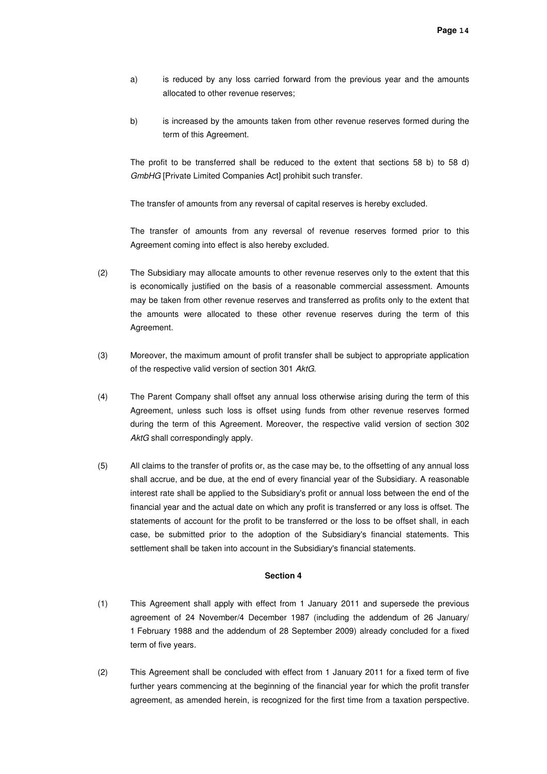- a) is reduced by any loss carried forward from the previous year and the amounts allocated to other revenue reserves;
- b) is increased by the amounts taken from other revenue reserves formed during the term of this Agreement.

The profit to be transferred shall be reduced to the extent that sections 58 b) to 58 d) GmbHG [Private Limited Companies Act] prohibit such transfer.

The transfer of amounts from any reversal of capital reserves is hereby excluded.

The transfer of amounts from any reversal of revenue reserves formed prior to this Agreement coming into effect is also hereby excluded.

- (2) The Subsidiary may allocate amounts to other revenue reserves only to the extent that this is economically justified on the basis of a reasonable commercial assessment. Amounts may be taken from other revenue reserves and transferred as profits only to the extent that the amounts were allocated to these other revenue reserves during the term of this Agreement.
- (3) Moreover, the maximum amount of profit transfer shall be subject to appropriate application of the respective valid version of section 301 AktG.
- (4) The Parent Company shall offset any annual loss otherwise arising during the term of this Agreement, unless such loss is offset using funds from other revenue reserves formed during the term of this Agreement. Moreover, the respective valid version of section 302 AktG shall correspondingly apply.
- (5) All claims to the transfer of profits or, as the case may be, to the offsetting of any annual loss shall accrue, and be due, at the end of every financial year of the Subsidiary. A reasonable interest rate shall be applied to the Subsidiary's profit or annual loss between the end of the financial year and the actual date on which any profit is transferred or any loss is offset. The statements of account for the profit to be transferred or the loss to be offset shall, in each case, be submitted prior to the adoption of the Subsidiary's financial statements. This settlement shall be taken into account in the Subsidiary's financial statements.

- (1) This Agreement shall apply with effect from 1 January 2011 and supersede the previous agreement of 24 November/4 December 1987 (including the addendum of 26 January/ 1 February 1988 and the addendum of 28 September 2009) already concluded for a fixed term of five years.
- (2) This Agreement shall be concluded with effect from 1 January 2011 for a fixed term of five further years commencing at the beginning of the financial year for which the profit transfer agreement, as amended herein, is recognized for the first time from a taxation perspective.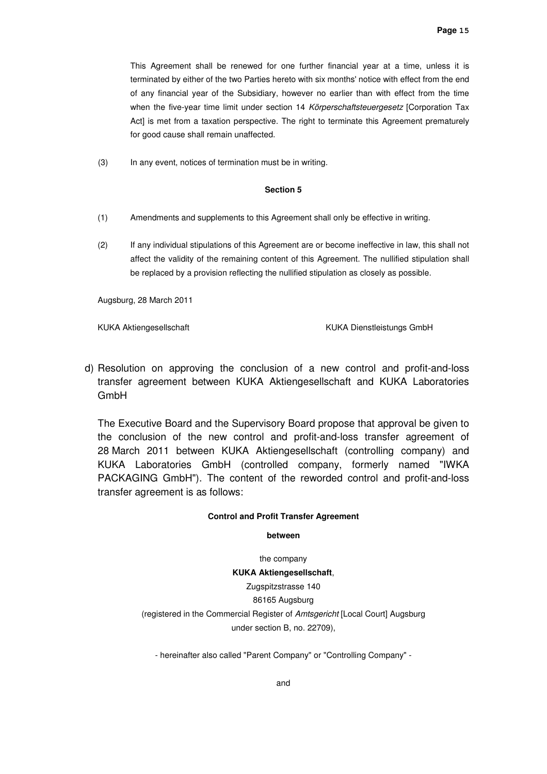This Agreement shall be renewed for one further financial year at a time, unless it is terminated by either of the two Parties hereto with six months' notice with effect from the end of any financial year of the Subsidiary, however no earlier than with effect from the time when the five-year time limit under section 14 Körperschaftsteuergesetz [Corporation Tax Act] is met from a taxation perspective. The right to terminate this Agreement prematurely for good cause shall remain unaffected.

(3) In any event, notices of termination must be in writing.

#### **Section 5**

- (1) Amendments and supplements to this Agreement shall only be effective in writing.
- (2) If any individual stipulations of this Agreement are or become ineffective in law, this shall not affect the validity of the remaining content of this Agreement. The nullified stipulation shall be replaced by a provision reflecting the nullified stipulation as closely as possible.

Augsburg, 28 March 2011

KUKA Aktiengesellschaft KUKA Dienstleistungs GmbH

d) Resolution on approving the conclusion of a new control and profit-and-loss transfer agreement between KUKA Aktiengesellschaft and KUKA Laboratories GmbH

The Executive Board and the Supervisory Board propose that approval be given to the conclusion of the new control and profit-and-loss transfer agreement of 28 March 2011 between KUKA Aktiengesellschaft (controlling company) and KUKA Laboratories GmbH (controlled company, formerly named "IWKA PACKAGING GmbH"). The content of the reworded control and profit-and-loss transfer agreement is as follows:

#### **Control and Profit Transfer Agreement**

#### **between**

the company **KUKA Aktiengesellschaft**, Zugspitzstrasse 140 86165 Augsburg (registered in the Commercial Register of Amtsgericht [Local Court] Augsburg under section B, no. 22709),

- hereinafter also called "Parent Company" or "Controlling Company" -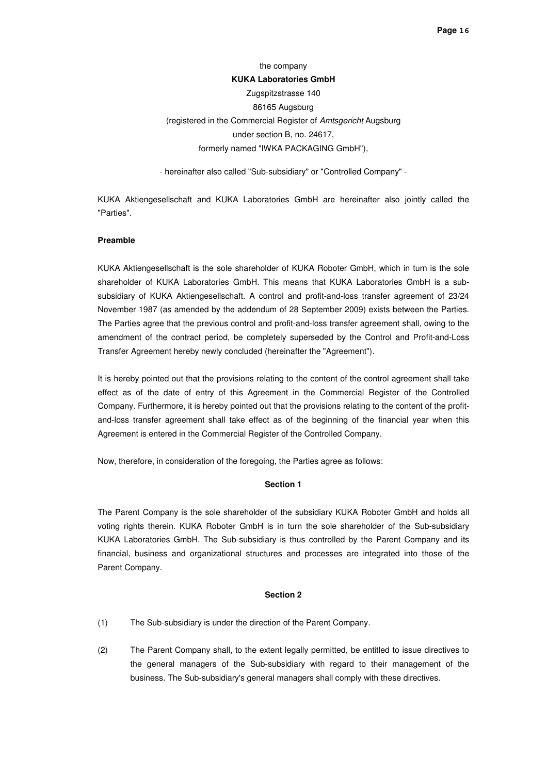# the company **KUKA Laboratories GmbH**  Zugspitzstrasse 140 86165 Augsburg (registered in the Commercial Register of Amtsgericht Augsburg under section B, no. 24617, formerly named "IWKA PACKAGING GmbH"),

- hereinafter also called "Sub-subsidiary" or "Controlled Company" -

KUKA Aktiengesellschaft and KUKA Laboratories GmbH are hereinafter also jointly called the "Parties".

#### **Preamble**

KUKA Aktiengesellschaft is the sole shareholder of KUKA Roboter GmbH, which in turn is the sole shareholder of KUKA Laboratories GmbH. This means that KUKA Laboratories GmbH is a subsubsidiary of KUKA Aktiengesellschaft. A control and profit-and-loss transfer agreement of 23/24 November 1987 (as amended by the addendum of 28 September 2009) exists between the Parties. The Parties agree that the previous control and profit-and-loss transfer agreement shall, owing to the amendment of the contract period, be completely superseded by the Control and Profit-and-Loss Transfer Agreement hereby newly concluded (hereinafter the "Agreement").

It is hereby pointed out that the provisions relating to the content of the control agreement shall take effect as of the date of entry of this Agreement in the Commercial Register of the Controlled Company. Furthermore, it is hereby pointed out that the provisions relating to the content of the profitand-loss transfer agreement shall take effect as of the beginning of the financial year when this Agreement is entered in the Commercial Register of the Controlled Company.

Now, therefore, in consideration of the foregoing, the Parties agree as follows:

#### **Section 1**

The Parent Company is the sole shareholder of the subsidiary KUKA Roboter GmbH and holds all voting rights therein. KUKA Roboter GmbH is in turn the sole shareholder of the Sub-subsidiary KUKA Laboratories GmbH. The Sub-subsidiary is thus controlled by the Parent Company and its financial, business and organizational structures and processes are integrated into those of the Parent Company.

- (1) The Sub-subsidiary is under the direction of the Parent Company.
- (2) The Parent Company shall, to the extent legally permitted, be entitled to issue directives to the general managers of the Sub-subsidiary with regard to their management of the business. The Sub-subsidiary's general managers shall comply with these directives.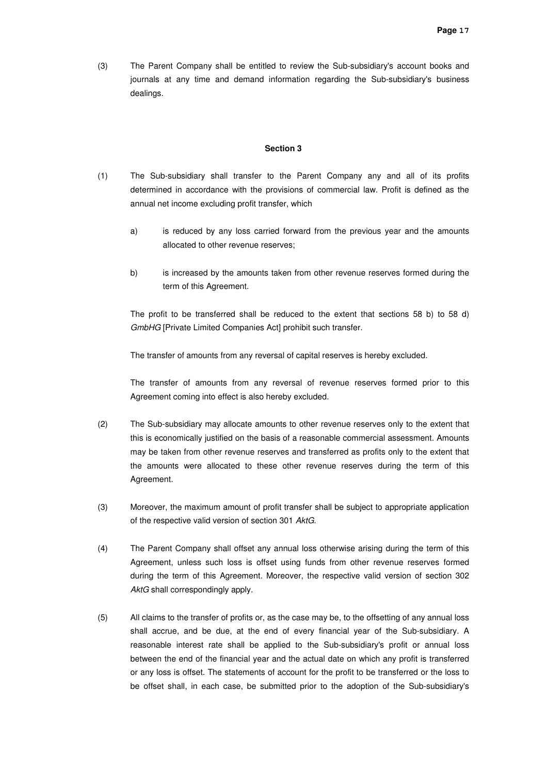(3) The Parent Company shall be entitled to review the Sub-subsidiary's account books and journals at any time and demand information regarding the Sub-subsidiary's business dealings.

#### **Section 3**

- (1) The Sub-subsidiary shall transfer to the Parent Company any and all of its profits determined in accordance with the provisions of commercial law. Profit is defined as the annual net income excluding profit transfer, which
	- a) is reduced by any loss carried forward from the previous year and the amounts allocated to other revenue reserves;
	- b) is increased by the amounts taken from other revenue reserves formed during the term of this Agreement.

The profit to be transferred shall be reduced to the extent that sections 58 b) to 58 d) GmbHG [Private Limited Companies Act] prohibit such transfer.

The transfer of amounts from any reversal of capital reserves is hereby excluded.

The transfer of amounts from any reversal of revenue reserves formed prior to this Agreement coming into effect is also hereby excluded.

- (2) The Sub-subsidiary may allocate amounts to other revenue reserves only to the extent that this is economically justified on the basis of a reasonable commercial assessment. Amounts may be taken from other revenue reserves and transferred as profits only to the extent that the amounts were allocated to these other revenue reserves during the term of this Agreement.
- (3) Moreover, the maximum amount of profit transfer shall be subject to appropriate application of the respective valid version of section 301 AktG.
- (4) The Parent Company shall offset any annual loss otherwise arising during the term of this Agreement, unless such loss is offset using funds from other revenue reserves formed during the term of this Agreement. Moreover, the respective valid version of section 302 AktG shall correspondingly apply.
- (5) All claims to the transfer of profits or, as the case may be, to the offsetting of any annual loss shall accrue, and be due, at the end of every financial year of the Sub-subsidiary. A reasonable interest rate shall be applied to the Sub-subsidiary's profit or annual loss between the end of the financial year and the actual date on which any profit is transferred or any loss is offset. The statements of account for the profit to be transferred or the loss to be offset shall, in each case, be submitted prior to the adoption of the Sub-subsidiary's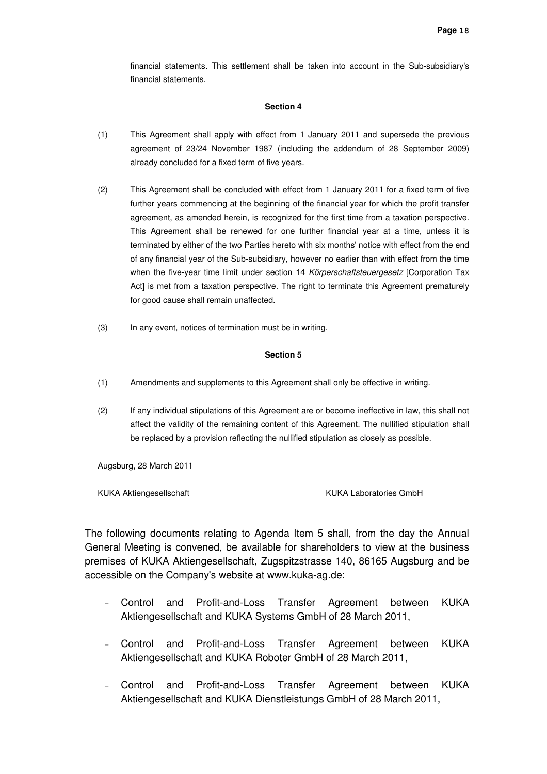financial statements. This settlement shall be taken into account in the Sub-subsidiary's financial statements.

### **Section 4**

- (1) This Agreement shall apply with effect from 1 January 2011 and supersede the previous agreement of 23/24 November 1987 (including the addendum of 28 September 2009) already concluded for a fixed term of five years.
- (2) This Agreement shall be concluded with effect from 1 January 2011 for a fixed term of five further years commencing at the beginning of the financial year for which the profit transfer agreement, as amended herein, is recognized for the first time from a taxation perspective. This Agreement shall be renewed for one further financial year at a time, unless it is terminated by either of the two Parties hereto with six months' notice with effect from the end of any financial year of the Sub-subsidiary, however no earlier than with effect from the time when the five-year time limit under section 14 Körperschaftsteuergesetz [Corporation Tax Act] is met from a taxation perspective. The right to terminate this Agreement prematurely for good cause shall remain unaffected.
- (3) In any event, notices of termination must be in writing.

#### **Section 5**

- (1) Amendments and supplements to this Agreement shall only be effective in writing.
- (2) If any individual stipulations of this Agreement are or become ineffective in law, this shall not affect the validity of the remaining content of this Agreement. The nullified stipulation shall be replaced by a provision reflecting the nullified stipulation as closely as possible.

Augsburg, 28 March 2011

KUKA Aktiengesellschaft **KUKA Laboratories GmbH** 

The following documents relating to Agenda Item 5 shall, from the day the Annual General Meeting is convened, be available for shareholders to view at the business premises of KUKA Aktiengesellschaft, Zugspitzstrasse 140, 86165 Augsburg and be accessible on the Company's website at www.kuka-ag.de:

- Control and Profit-and-Loss Transfer Agreement between KUKA Aktiengesellschaft and KUKA Systems GmbH of 28 March 2011,
- Control and Profit-and-Loss Transfer Agreement between KUKA Aktiengesellschaft and KUKA Roboter GmbH of 28 March 2011,
- Control and Profit-and-Loss Transfer Agreement between KUKA Aktiengesellschaft and KUKA Dienstleistungs GmbH of 28 March 2011,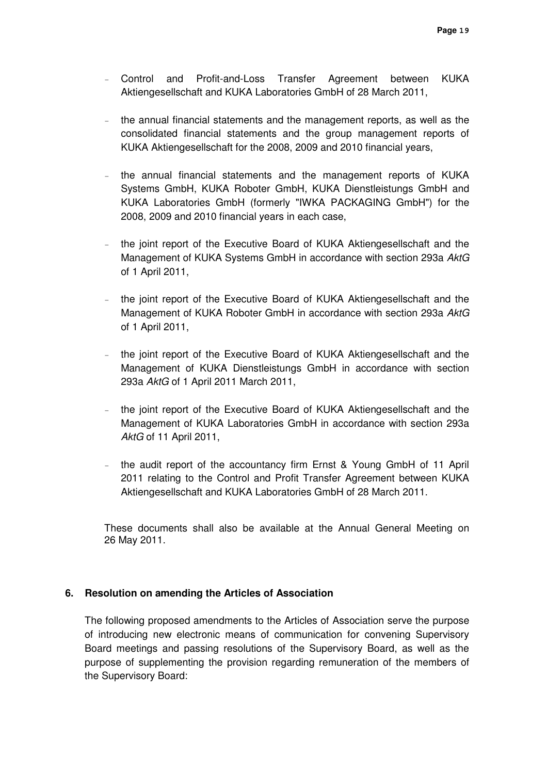- Control and Profit-and-Loss Transfer Agreement between KUKA Aktiengesellschaft and KUKA Laboratories GmbH of 28 March 2011,
- the annual financial statements and the management reports, as well as the consolidated financial statements and the group management reports of KUKA Aktiengesellschaft for the 2008, 2009 and 2010 financial years,
- the annual financial statements and the management reports of KUKA Systems GmbH, KUKA Roboter GmbH, KUKA Dienstleistungs GmbH and KUKA Laboratories GmbH (formerly "IWKA PACKAGING GmbH") for the 2008, 2009 and 2010 financial years in each case,
- the joint report of the Executive Board of KUKA Aktiengesellschaft and the Management of KUKA Systems GmbH in accordance with section 293a AktG of 1 April 2011,
- the joint report of the Executive Board of KUKA Aktiengesellschaft and the Management of KUKA Roboter GmbH in accordance with section 293a AktG of 1 April 2011,
- the joint report of the Executive Board of KUKA Aktiengesellschaft and the Management of KUKA Dienstleistungs GmbH in accordance with section 293a AktG of 1 April 2011 March 2011,
- the joint report of the Executive Board of KUKA Aktiengesellschaft and the Management of KUKA Laboratories GmbH in accordance with section 293a AktG of 11 April 2011,
- the audit report of the accountancy firm Ernst & Young GmbH of 11 April 2011 relating to the Control and Profit Transfer Agreement between KUKA Aktiengesellschaft and KUKA Laboratories GmbH of 28 March 2011.

These documents shall also be available at the Annual General Meeting on 26 May 2011.

### **6. Resolution on amending the Articles of Association**

The following proposed amendments to the Articles of Association serve the purpose of introducing new electronic means of communication for convening Supervisory Board meetings and passing resolutions of the Supervisory Board, as well as the purpose of supplementing the provision regarding remuneration of the members of the Supervisory Board: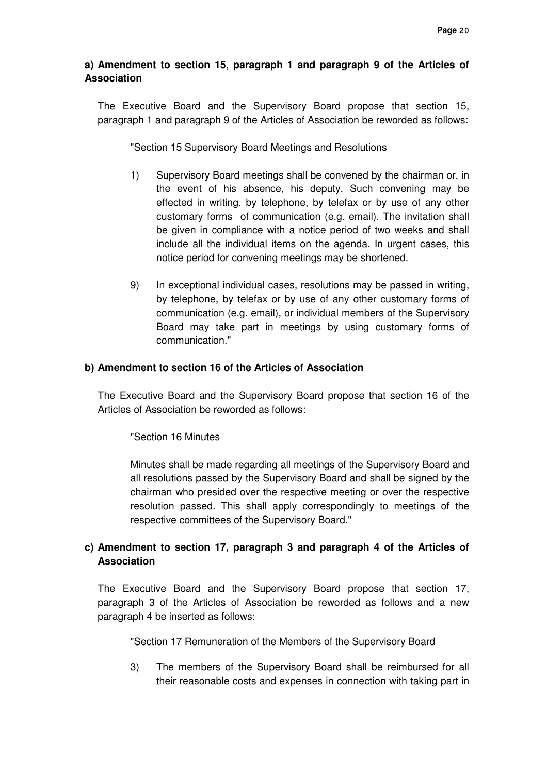# **a) Amendment to section 15, paragraph 1 and paragraph 9 of the Articles of Association**

The Executive Board and the Supervisory Board propose that section 15, paragraph 1 and paragraph 9 of the Articles of Association be reworded as follows:

"Section 15 Supervisory Board Meetings and Resolutions

- 1) Supervisory Board meetings shall be convened by the chairman or, in the event of his absence, his deputy. Such convening may be effected in writing, by telephone, by telefax or by use of any other customary forms of communication (e.g. email). The invitation shall be given in compliance with a notice period of two weeks and shall include all the individual items on the agenda. In urgent cases, this notice period for convening meetings may be shortened.
- 9) In exceptional individual cases, resolutions may be passed in writing, by telephone, by telefax or by use of any other customary forms of communication (e.g. email), or individual members of the Supervisory Board may take part in meetings by using customary forms of communication."

## **b) Amendment to section 16 of the Articles of Association**

 The Executive Board and the Supervisory Board propose that section 16 of the Articles of Association be reworded as follows:

"Section 16 Minutes

Minutes shall be made regarding all meetings of the Supervisory Board and all resolutions passed by the Supervisory Board and shall be signed by the chairman who presided over the respective meeting or over the respective resolution passed. This shall apply correspondingly to meetings of the respective committees of the Supervisory Board."

# **c) Amendment to section 17, paragraph 3 and paragraph 4 of the Articles of Association**

 The Executive Board and the Supervisory Board propose that section 17, paragraph 3 of the Articles of Association be reworded as follows and a new paragraph 4 be inserted as follows:

"Section 17 Remuneration of the Members of the Supervisory Board

3) The members of the Supervisory Board shall be reimbursed for all their reasonable costs and expenses in connection with taking part in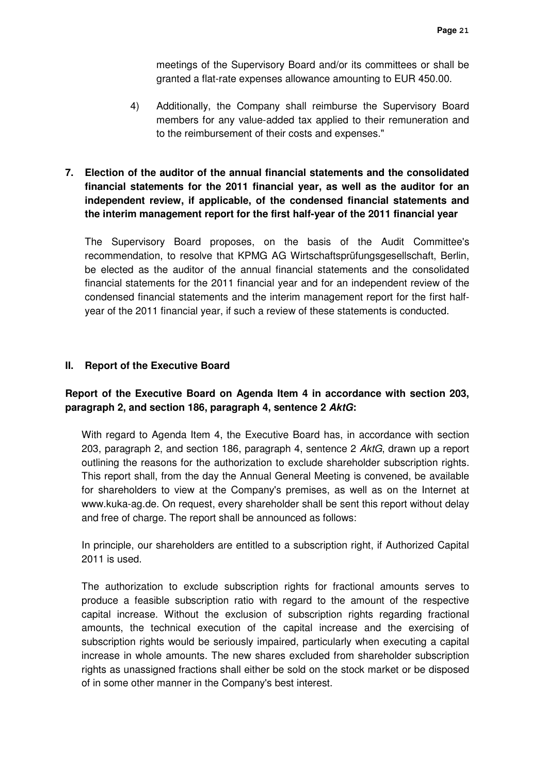meetings of the Supervisory Board and/or its committees or shall be granted a flat-rate expenses allowance amounting to EUR 450.00.

- 4) Additionally, the Company shall reimburse the Supervisory Board members for any value-added tax applied to their remuneration and to the reimbursement of their costs and expenses."
- **7. Election of the auditor of the annual financial statements and the consolidated financial statements for the 2011 financial year, as well as the auditor for an independent review, if applicable, of the condensed financial statements and the interim management report for the first half-year of the 2011 financial year**

The Supervisory Board proposes, on the basis of the Audit Committee's recommendation, to resolve that KPMG AG Wirtschaftsprüfungsgesellschaft, Berlin, be elected as the auditor of the annual financial statements and the consolidated financial statements for the 2011 financial year and for an independent review of the condensed financial statements and the interim management report for the first halfyear of the 2011 financial year, if such a review of these statements is conducted.

## **II. Report of the Executive Board**

## **Report of the Executive Board on Agenda Item 4 in accordance with section 203, paragraph 2, and section 186, paragraph 4, sentence 2 AktG:**

With regard to Agenda Item 4, the Executive Board has, in accordance with section 203, paragraph 2, and section 186, paragraph 4, sentence 2 AktG, drawn up a report outlining the reasons for the authorization to exclude shareholder subscription rights. This report shall, from the day the Annual General Meeting is convened, be available for shareholders to view at the Company's premises, as well as on the Internet at www.kuka-ag.de. On request, every shareholder shall be sent this report without delay and free of charge. The report shall be announced as follows:

In principle, our shareholders are entitled to a subscription right, if Authorized Capital 2011 is used.

The authorization to exclude subscription rights for fractional amounts serves to produce a feasible subscription ratio with regard to the amount of the respective capital increase. Without the exclusion of subscription rights regarding fractional amounts, the technical execution of the capital increase and the exercising of subscription rights would be seriously impaired, particularly when executing a capital increase in whole amounts. The new shares excluded from shareholder subscription rights as unassigned fractions shall either be sold on the stock market or be disposed of in some other manner in the Company's best interest.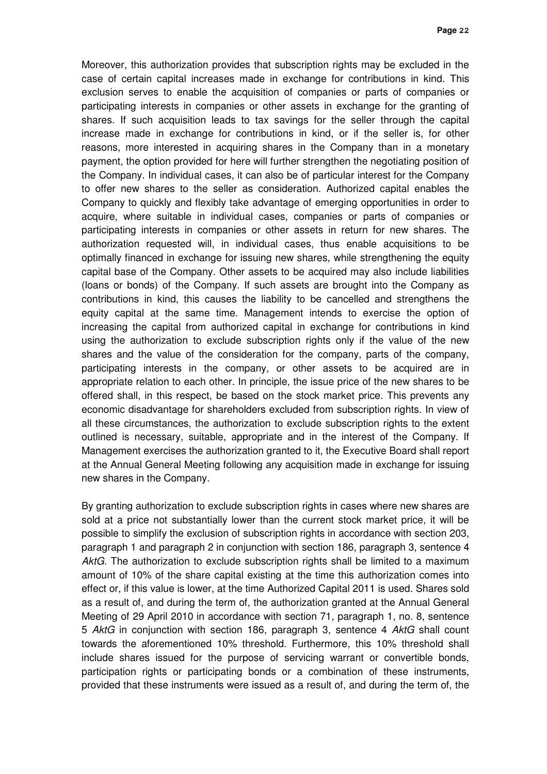Moreover, this authorization provides that subscription rights may be excluded in the case of certain capital increases made in exchange for contributions in kind. This exclusion serves to enable the acquisition of companies or parts of companies or participating interests in companies or other assets in exchange for the granting of shares. If such acquisition leads to tax savings for the seller through the capital increase made in exchange for contributions in kind, or if the seller is, for other reasons, more interested in acquiring shares in the Company than in a monetary payment, the option provided for here will further strengthen the negotiating position of the Company. In individual cases, it can also be of particular interest for the Company to offer new shares to the seller as consideration. Authorized capital enables the Company to quickly and flexibly take advantage of emerging opportunities in order to acquire, where suitable in individual cases, companies or parts of companies or participating interests in companies or other assets in return for new shares. The authorization requested will, in individual cases, thus enable acquisitions to be optimally financed in exchange for issuing new shares, while strengthening the equity capital base of the Company. Other assets to be acquired may also include liabilities (loans or bonds) of the Company. If such assets are brought into the Company as contributions in kind, this causes the liability to be cancelled and strengthens the equity capital at the same time. Management intends to exercise the option of increasing the capital from authorized capital in exchange for contributions in kind using the authorization to exclude subscription rights only if the value of the new shares and the value of the consideration for the company, parts of the company, participating interests in the company, or other assets to be acquired are in appropriate relation to each other. In principle, the issue price of the new shares to be offered shall, in this respect, be based on the stock market price. This prevents any economic disadvantage for shareholders excluded from subscription rights. In view of all these circumstances, the authorization to exclude subscription rights to the extent outlined is necessary, suitable, appropriate and in the interest of the Company. If Management exercises the authorization granted to it, the Executive Board shall report at the Annual General Meeting following any acquisition made in exchange for issuing new shares in the Company.

By granting authorization to exclude subscription rights in cases where new shares are sold at a price not substantially lower than the current stock market price, it will be possible to simplify the exclusion of subscription rights in accordance with section 203, paragraph 1 and paragraph 2 in conjunction with section 186, paragraph 3, sentence 4 AktG. The authorization to exclude subscription rights shall be limited to a maximum amount of 10% of the share capital existing at the time this authorization comes into effect or, if this value is lower, at the time Authorized Capital 2011 is used. Shares sold as a result of, and during the term of, the authorization granted at the Annual General Meeting of 29 April 2010 in accordance with section 71, paragraph 1, no. 8, sentence 5 AktG in conjunction with section 186, paragraph 3, sentence 4 AktG shall count towards the aforementioned 10% threshold. Furthermore, this 10% threshold shall include shares issued for the purpose of servicing warrant or convertible bonds, participation rights or participating bonds or a combination of these instruments, provided that these instruments were issued as a result of, and during the term of, the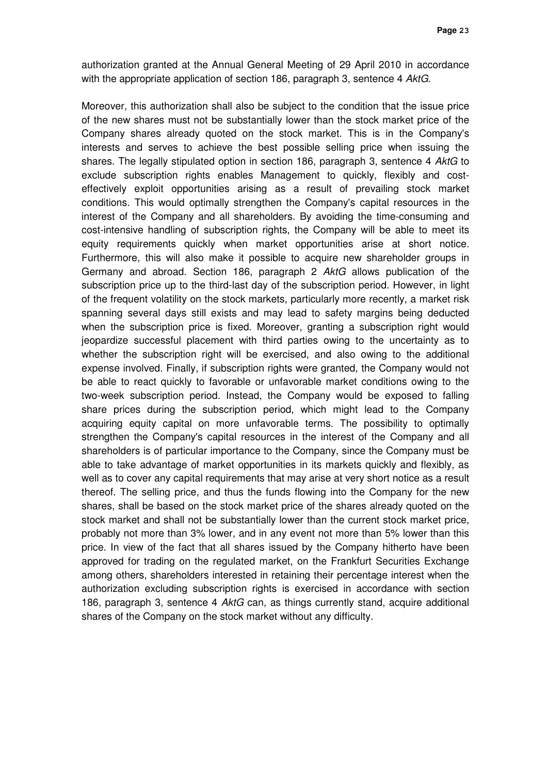authorization granted at the Annual General Meeting of 29 April 2010 in accordance with the appropriate application of section 186, paragraph 3, sentence 4 AktG.

Moreover, this authorization shall also be subject to the condition that the issue price of the new shares must not be substantially lower than the stock market price of the Company shares already quoted on the stock market. This is in the Company's interests and serves to achieve the best possible selling price when issuing the shares. The legally stipulated option in section 186, paragraph 3, sentence 4 AktG to exclude subscription rights enables Management to quickly, flexibly and costeffectively exploit opportunities arising as a result of prevailing stock market conditions. This would optimally strengthen the Company's capital resources in the interest of the Company and all shareholders. By avoiding the time-consuming and cost-intensive handling of subscription rights, the Company will be able to meet its equity requirements quickly when market opportunities arise at short notice. Furthermore, this will also make it possible to acquire new shareholder groups in Germany and abroad. Section 186, paragraph 2 AktG allows publication of the subscription price up to the third-last day of the subscription period. However, in light of the frequent volatility on the stock markets, particularly more recently, a market risk spanning several days still exists and may lead to safety margins being deducted when the subscription price is fixed. Moreover, granting a subscription right would jeopardize successful placement with third parties owing to the uncertainty as to whether the subscription right will be exercised, and also owing to the additional expense involved. Finally, if subscription rights were granted, the Company would not be able to react quickly to favorable or unfavorable market conditions owing to the two-week subscription period. Instead, the Company would be exposed to falling share prices during the subscription period, which might lead to the Company acquiring equity capital on more unfavorable terms. The possibility to optimally strengthen the Company's capital resources in the interest of the Company and all shareholders is of particular importance to the Company, since the Company must be able to take advantage of market opportunities in its markets quickly and flexibly, as well as to cover any capital requirements that may arise at very short notice as a result thereof. The selling price, and thus the funds flowing into the Company for the new shares, shall be based on the stock market price of the shares already quoted on the stock market and shall not be substantially lower than the current stock market price, probably not more than 3% lower, and in any event not more than 5% lower than this price. In view of the fact that all shares issued by the Company hitherto have been approved for trading on the regulated market, on the Frankfurt Securities Exchange among others, shareholders interested in retaining their percentage interest when the authorization excluding subscription rights is exercised in accordance with section 186, paragraph 3, sentence 4 AktG can, as things currently stand, acquire additional shares of the Company on the stock market without any difficulty.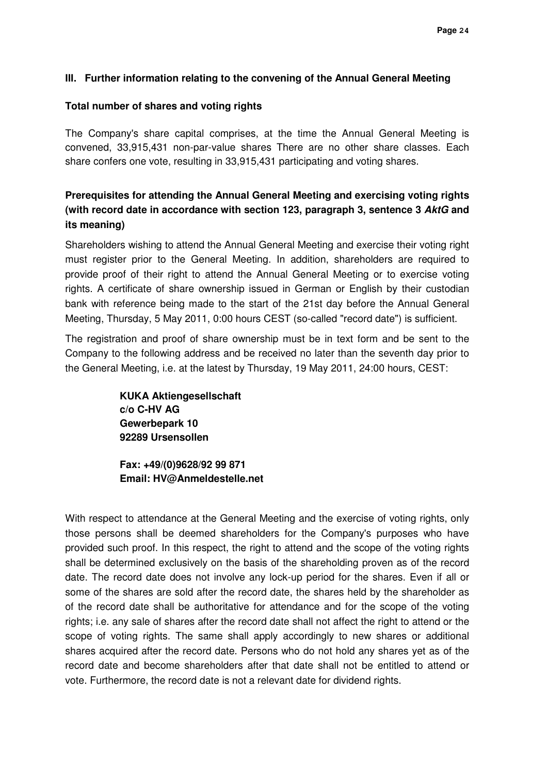## **III. Further information relating to the convening of the Annual General Meeting**

### **Total number of shares and voting rights**

The Company's share capital comprises, at the time the Annual General Meeting is convened, 33,915,431 non-par-value shares There are no other share classes. Each share confers one vote, resulting in 33,915,431 participating and voting shares.

# **Prerequisites for attending the Annual General Meeting and exercising voting rights (with record date in accordance with section 123, paragraph 3, sentence 3 AktG and its meaning)**

Shareholders wishing to attend the Annual General Meeting and exercise their voting right must register prior to the General Meeting. In addition, shareholders are required to provide proof of their right to attend the Annual General Meeting or to exercise voting rights. A certificate of share ownership issued in German or English by their custodian bank with reference being made to the start of the 21st day before the Annual General Meeting, Thursday, 5 May 2011, 0:00 hours CEST (so-called "record date") is sufficient.

The registration and proof of share ownership must be in text form and be sent to the Company to the following address and be received no later than the seventh day prior to the General Meeting, i.e. at the latest by Thursday, 19 May 2011, 24:00 hours, CEST:

> **KUKA Aktiengesellschaft c/o C-HV AG Gewerbepark 10 92289 Ursensollen**

**Fax: +49/(0)9628/92 99 871 Email: HV@Anmeldestelle.net** 

With respect to attendance at the General Meeting and the exercise of voting rights, only those persons shall be deemed shareholders for the Company's purposes who have provided such proof. In this respect, the right to attend and the scope of the voting rights shall be determined exclusively on the basis of the shareholding proven as of the record date. The record date does not involve any lock-up period for the shares. Even if all or some of the shares are sold after the record date, the shares held by the shareholder as of the record date shall be authoritative for attendance and for the scope of the voting rights; i.e. any sale of shares after the record date shall not affect the right to attend or the scope of voting rights. The same shall apply accordingly to new shares or additional shares acquired after the record date. Persons who do not hold any shares yet as of the record date and become shareholders after that date shall not be entitled to attend or vote. Furthermore, the record date is not a relevant date for dividend rights.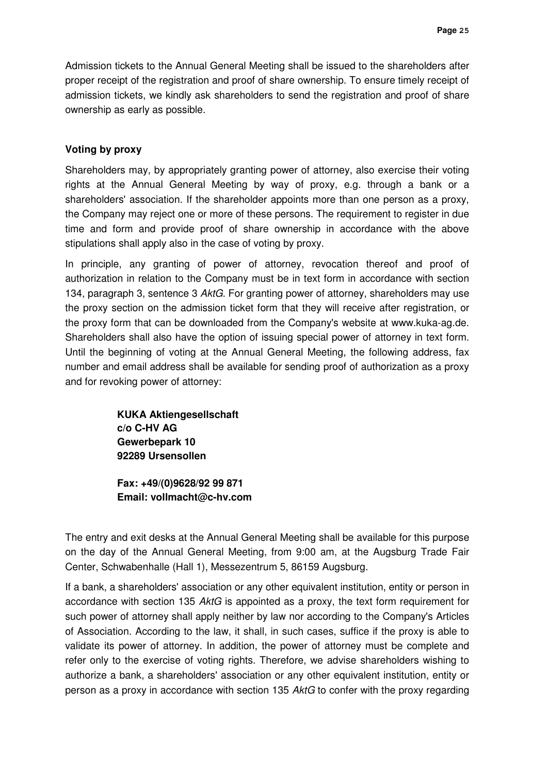Admission tickets to the Annual General Meeting shall be issued to the shareholders after proper receipt of the registration and proof of share ownership. To ensure timely receipt of admission tickets, we kindly ask shareholders to send the registration and proof of share ownership as early as possible.

## **Voting by proxy**

Shareholders may, by appropriately granting power of attorney, also exercise their voting rights at the Annual General Meeting by way of proxy, e.g. through a bank or a shareholders' association. If the shareholder appoints more than one person as a proxy, the Company may reject one or more of these persons. The requirement to register in due time and form and provide proof of share ownership in accordance with the above stipulations shall apply also in the case of voting by proxy.

In principle, any granting of power of attorney, revocation thereof and proof of authorization in relation to the Company must be in text form in accordance with section 134, paragraph 3, sentence 3 AktG. For granting power of attorney, shareholders may use the proxy section on the admission ticket form that they will receive after registration, or the proxy form that can be downloaded from the Company's website at www.kuka-ag.de. Shareholders shall also have the option of issuing special power of attorney in text form. Until the beginning of voting at the Annual General Meeting, the following address, fax number and email address shall be available for sending proof of authorization as a proxy and for revoking power of attorney:

> **KUKA Aktiengesellschaft c/o C-HV AG Gewerbepark 10 92289 Ursensollen**

**Fax: +49/(0)9628/92 99 871 Email: vollmacht@c-hv.com** 

The entry and exit desks at the Annual General Meeting shall be available for this purpose on the day of the Annual General Meeting, from 9:00 am, at the Augsburg Trade Fair Center, Schwabenhalle (Hall 1), Messezentrum 5, 86159 Augsburg.

If a bank, a shareholders' association or any other equivalent institution, entity or person in accordance with section 135 AktG is appointed as a proxy, the text form requirement for such power of attorney shall apply neither by law nor according to the Company's Articles of Association. According to the law, it shall, in such cases, suffice if the proxy is able to validate its power of attorney. In addition, the power of attorney must be complete and refer only to the exercise of voting rights. Therefore, we advise shareholders wishing to authorize a bank, a shareholders' association or any other equivalent institution, entity or person as a proxy in accordance with section 135 AktG to confer with the proxy regarding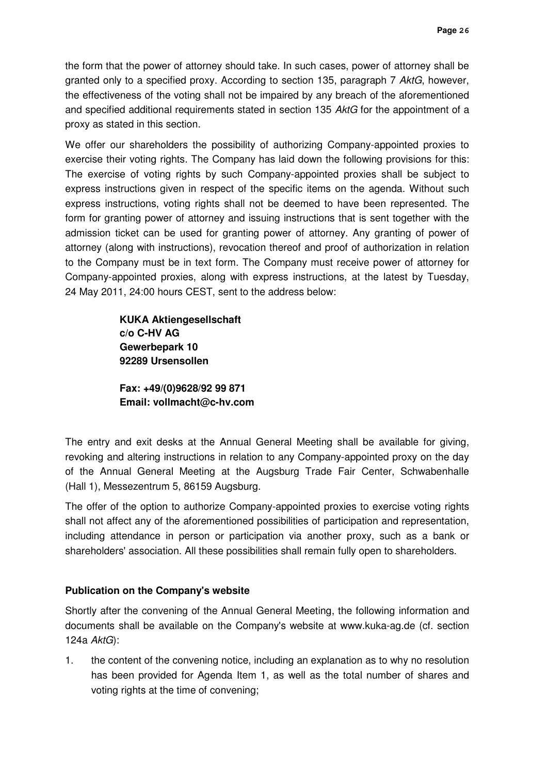the form that the power of attorney should take. In such cases, power of attorney shall be granted only to a specified proxy. According to section 135, paragraph 7 AktG, however, the effectiveness of the voting shall not be impaired by any breach of the aforementioned and specified additional requirements stated in section 135 AktG for the appointment of a proxy as stated in this section.

We offer our shareholders the possibility of authorizing Company-appointed proxies to exercise their voting rights. The Company has laid down the following provisions for this: The exercise of voting rights by such Company-appointed proxies shall be subject to express instructions given in respect of the specific items on the agenda. Without such express instructions, voting rights shall not be deemed to have been represented. The form for granting power of attorney and issuing instructions that is sent together with the admission ticket can be used for granting power of attorney. Any granting of power of attorney (along with instructions), revocation thereof and proof of authorization in relation to the Company must be in text form. The Company must receive power of attorney for Company-appointed proxies, along with express instructions, at the latest by Tuesday, 24 May 2011, 24:00 hours CEST, sent to the address below:

> **KUKA Aktiengesellschaft c/o C-HV AG Gewerbepark 10 92289 Ursensollen**

**Fax: +49/(0)9628/92 99 871 Email: vollmacht@c-hv.com** 

The entry and exit desks at the Annual General Meeting shall be available for giving, revoking and altering instructions in relation to any Company-appointed proxy on the day of the Annual General Meeting at the Augsburg Trade Fair Center, Schwabenhalle (Hall 1), Messezentrum 5, 86159 Augsburg.

The offer of the option to authorize Company-appointed proxies to exercise voting rights shall not affect any of the aforementioned possibilities of participation and representation, including attendance in person or participation via another proxy, such as a bank or shareholders' association. All these possibilities shall remain fully open to shareholders.

# **Publication on the Company's website**

Shortly after the convening of the Annual General Meeting, the following information and documents shall be available on the Company's website at www.kuka-ag.de (cf. section 124a AktG):

1. the content of the convening notice, including an explanation as to why no resolution has been provided for Agenda Item 1, as well as the total number of shares and voting rights at the time of convening;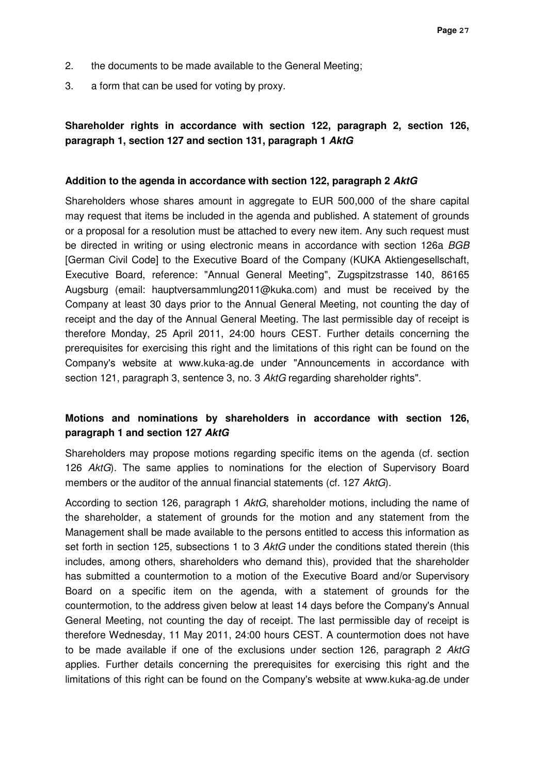- 2. the documents to be made available to the General Meeting;
- 3. a form that can be used for voting by proxy.

# **Shareholder rights in accordance with section 122, paragraph 2, section 126, paragraph 1, section 127 and section 131, paragraph 1 AktG**

### **Addition to the agenda in accordance with section 122, paragraph 2 AktG**

Shareholders whose shares amount in aggregate to EUR 500,000 of the share capital may request that items be included in the agenda and published. A statement of grounds or a proposal for a resolution must be attached to every new item. Any such request must be directed in writing or using electronic means in accordance with section 126a BGB [German Civil Code] to the Executive Board of the Company (KUKA Aktiengesellschaft, Executive Board, reference: "Annual General Meeting", Zugspitzstrasse 140, 86165 Augsburg (email: hauptversammlung2011@kuka.com) and must be received by the Company at least 30 days prior to the Annual General Meeting, not counting the day of receipt and the day of the Annual General Meeting. The last permissible day of receipt is therefore Monday, 25 April 2011, 24:00 hours CEST. Further details concerning the prerequisites for exercising this right and the limitations of this right can be found on the Company's website at www.kuka-ag.de under "Announcements in accordance with section 121, paragraph 3, sentence 3, no. 3 AktG regarding shareholder rights".

# **Motions and nominations by shareholders in accordance with section 126, paragraph 1 and section 127 AktG**

Shareholders may propose motions regarding specific items on the agenda (cf. section 126 AktG). The same applies to nominations for the election of Supervisory Board members or the auditor of the annual financial statements (cf. 127 AktG).

According to section 126, paragraph 1 AktG, shareholder motions, including the name of the shareholder, a statement of grounds for the motion and any statement from the Management shall be made available to the persons entitled to access this information as set forth in section 125, subsections 1 to 3 AktG under the conditions stated therein (this includes, among others, shareholders who demand this), provided that the shareholder has submitted a countermotion to a motion of the Executive Board and/or Supervisory Board on a specific item on the agenda, with a statement of grounds for the countermotion, to the address given below at least 14 days before the Company's Annual General Meeting, not counting the day of receipt. The last permissible day of receipt is therefore Wednesday, 11 May 2011, 24:00 hours CEST. A countermotion does not have to be made available if one of the exclusions under section 126, paragraph 2 AktG applies. Further details concerning the prerequisites for exercising this right and the limitations of this right can be found on the Company's website at www.kuka-ag.de under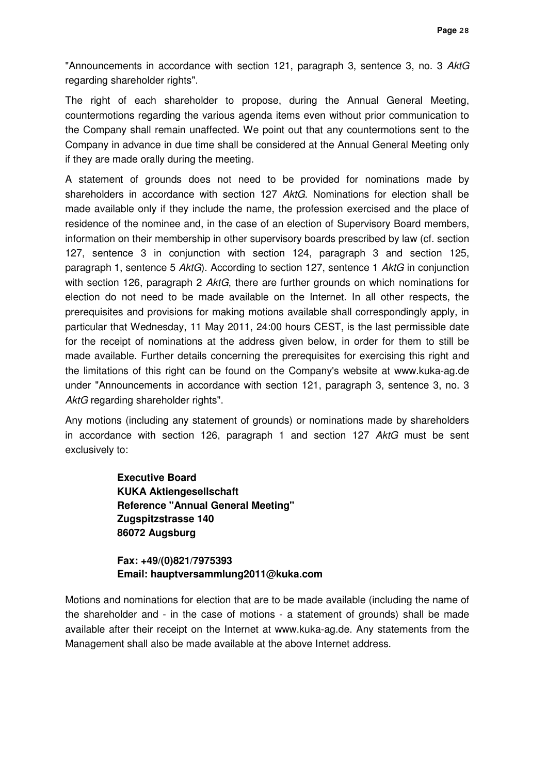"Announcements in accordance with section 121, paragraph 3, sentence 3, no. 3 AktG regarding shareholder rights".

The right of each shareholder to propose, during the Annual General Meeting, countermotions regarding the various agenda items even without prior communication to the Company shall remain unaffected. We point out that any countermotions sent to the Company in advance in due time shall be considered at the Annual General Meeting only if they are made orally during the meeting.

A statement of grounds does not need to be provided for nominations made by shareholders in accordance with section 127 AktG. Nominations for election shall be made available only if they include the name, the profession exercised and the place of residence of the nominee and, in the case of an election of Supervisory Board members, information on their membership in other supervisory boards prescribed by law (cf. section 127, sentence 3 in conjunction with section 124, paragraph 3 and section 125, paragraph 1, sentence 5 AktG). According to section 127, sentence 1 AktG in conjunction with section 126, paragraph 2 AktG, there are further grounds on which nominations for election do not need to be made available on the Internet. In all other respects, the prerequisites and provisions for making motions available shall correspondingly apply, in particular that Wednesday, 11 May 2011, 24:00 hours CEST, is the last permissible date for the receipt of nominations at the address given below, in order for them to still be made available. Further details concerning the prerequisites for exercising this right and the limitations of this right can be found on the Company's website at www.kuka-ag.de under "Announcements in accordance with section 121, paragraph 3, sentence 3, no. 3 AktG regarding shareholder rights".

Any motions (including any statement of grounds) or nominations made by shareholders in accordance with section 126, paragraph 1 and section 127 AktG must be sent exclusively to:

> **Executive Board KUKA Aktiengesellschaft Reference "Annual General Meeting" Zugspitzstrasse 140 86072 Augsburg**

**Fax: +49/(0)821/7975393 Email: hauptversammlung2011@kuka.com**

Motions and nominations for election that are to be made available (including the name of the shareholder and - in the case of motions - a statement of grounds) shall be made available after their receipt on the Internet at www.kuka-ag.de. Any statements from the Management shall also be made available at the above Internet address.